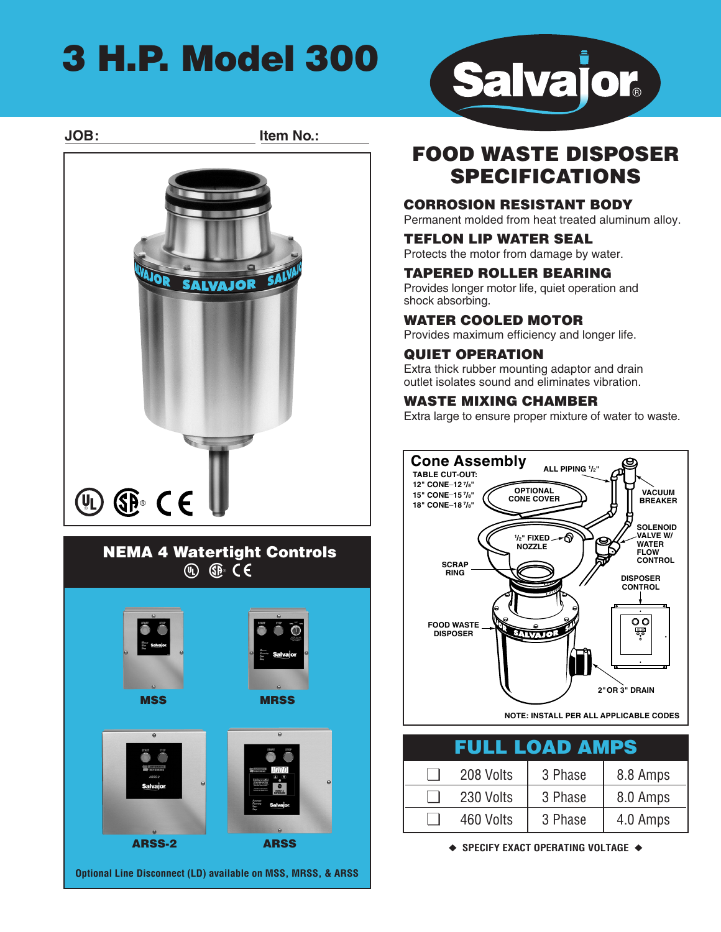## **3 H.P. Model 300**





## **FOOD WASTE DISPOSER SPECIFICATIONS**

#### **CORROSION RESISTANT BODY**

Permanent molded from heat treated aluminum alloy.

#### **TEFLON LIP WATER SEAL**

Protects the motor from damage by water.

#### **TAPERED ROLLER BEARING**

Provides longer motor life, quiet operation and shock absorbing.

#### **WATER COOLED MOTOR**

Provides maximum efficiency and longer life.

#### **QUIET OPERATION**

Extra thick rubber mounting adaptor and drain outlet isolates sound and eliminates vibration.

#### **WASTE MIXING CHAMBER**

Extra large to ensure proper mixture of water to waste.



**NOTE: INSTALL PER ALL APPLICABLE CODES**

| FULL LOAD AMPS |           |         |          |
|----------------|-----------|---------|----------|
|                | 208 Volts | 3 Phase | 8.8 Amps |
|                | 230 Volts | 3 Phase | 8.0 Amps |
|                | 460 Volts | 3 Phase | 4.0 Amps |

**◆ SPECIFY EXACT OPERATING VOLTAGE ◆**